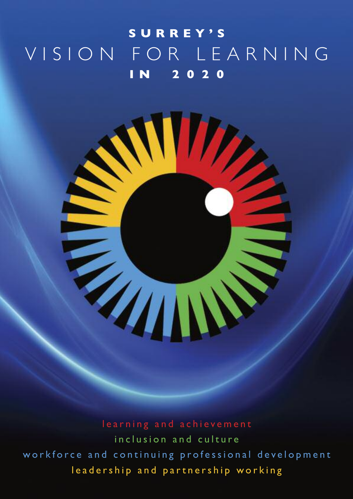# **S U R R E Y ' S** V I S I O N F O R L E A R N I N G **I N 2 0 2 0**



learning and achievement inclusion and culture workforce and continuing professional development leadership and partnership working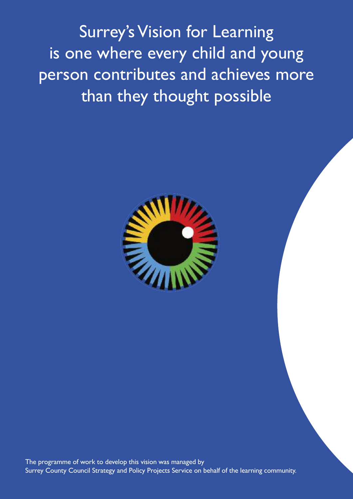Surrey's Vision for Learning is one where every child and young person contributes and achieves more than they thought possible



The programme of work to develop this vision was managed by Surrey County Council Strategy and Policy Projects Service on behalf of the learning community.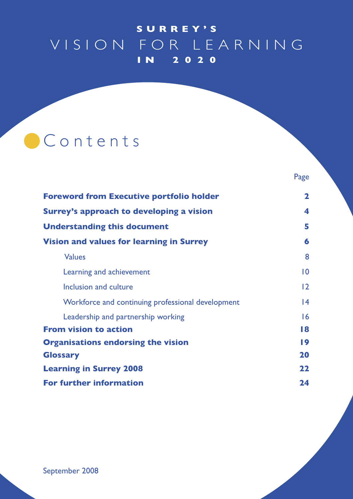### **S U R R E Y ' S** V I S I O N F O R L E A R N I N G **I N 2 0 2 0**

### **C** ontents

|                                                   | Page            |
|---------------------------------------------------|-----------------|
| <b>Foreword from Executive portfolio holder</b>   | $\mathbf{2}$    |
| Surrey's approach to developing a vision          | 4               |
| <b>Understanding this document</b>                | 5               |
| <b>Vision and values for learning in Surrey</b>   | 6               |
| <b>Values</b>                                     | 8               |
| Learning and achievement                          | $\overline{10}$ |
| Inclusion and culture                             | 12              |
| Workforce and continuing professional development | 4               |
| Leadership and partnership working                | 16              |
| <b>From vision to action</b>                      | 18              |
| <b>Organisations endorsing the vision</b>         | 19              |
| <b>Glossary</b>                                   | 20              |
| <b>Learning in Surrey 2008</b>                    | 22              |
| <b>For further information</b>                    | 24              |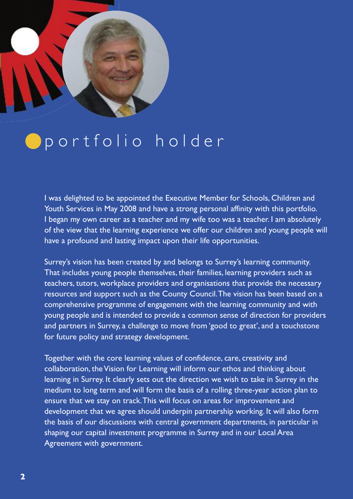

### Oportfolio holder

I was delighted to be appointed the Executive Member for Schools, Children and Youth Services in May 2008 and have a strong personal affinity with this portfolio. I began my own career as a teacher and my wife too was a teacher. I am absolutely of the view that the learning experience we offer our children and young people will have a profound and lasting impact upon their life opportunities.

Surrey's vision has been created by and belongs to Surrey's learning community. That includes young people themselves, their families, learning providers such as teachers, tutors, workplace providers and organisations that provide the necessary resources and support such as the County Council.The vision has been based on a comprehensive programme of engagement with the learning community and with young people and is intended to provide a common sense of direction for providers and partners in Surrey, a challenge to move from 'good to great', and a touchstone for future policy and strategy development.

Together with the core learning values of confidence, care, creativity and collaboration, theVision for Learning will inform our ethos and thinking about learning in Surrey. It clearly sets out the direction we wish to take in Surrey in the medium to long term and will form the basis of a rolling three-year action plan to ensure that we stay on track.This will focus on areas for improvement and development that we agree should underpin partnership working. It will also form the basis of our discussions with central government departments, in particular in shaping our capital investment programme in Surrey and in our Local Area Agreement with government.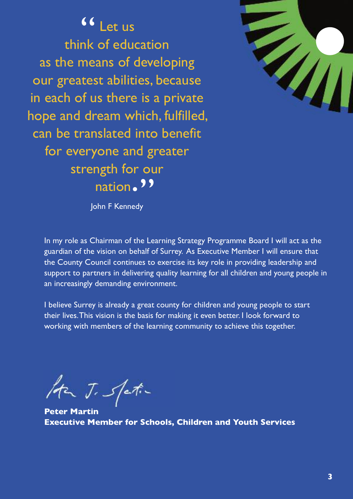



John F Kennedy

In my role as Chairman of the Learning Strategy Programme Board I will act as the guardian of the vision on behalf of Surrey. As Executive Member I will ensure that the County Council continues to exercise its key role in providing leadership and support to partners in delivering quality learning for all children and young people in an increasingly demanding environment.

I believe Surrey is already a great county for children and young people to start their lives.This vision is the basis for making it even better. I look forward to working with members of the learning community to achieve this together.

Ha J. Spation

**Peter Martin Executive Member for Schools, Children and Youth Services**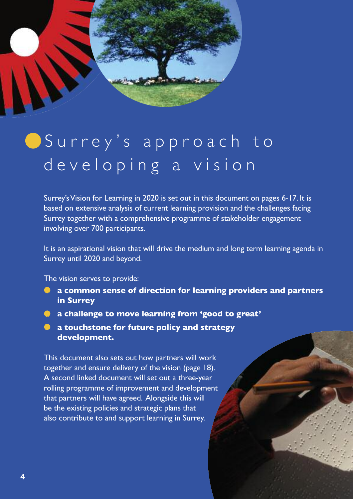# Surrey's approach to d e v e l o p i n g a v i s i o n

Surrey's Vision for Learning in 2020 is set out in this document on pages 6-17. It is based on extensive analysis of current learning provision and the challenges facing Surrey together with a comprehensive programme of stakeholder engagement involving over 700 participants.

It is an aspirational vision that will drive the medium and long term learning agenda in Surrey until 2020 and beyond.

The vision serves to provide:

- **a common sense of direction for learning providers and partners in Surrey**
- **a challenge to move learning from 'good to great'**
- **a touchstone for future policy and strategy development.**

This document also sets out how partners will work together and ensure delivery of the vision (page 18). A second linked document will set out a three-year rolling programme of improvement and development that partners will have agreed. Alongside this will be the existing policies and strategic plans that also contribute to and support learning in Surrey.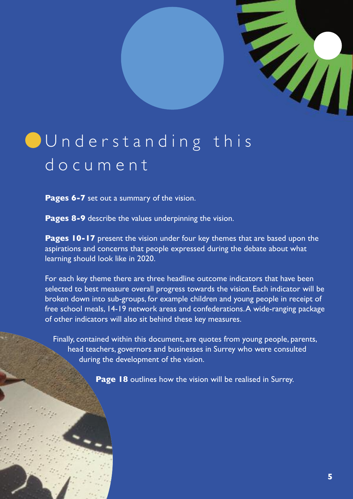

# OUnderstanding this d o c u m e n t

**Pages 6-7** set out a summary of the vision.

**Pages 8-9** describe the values underpinning the vision.

**Pages 10-17** present the vision under four key themes that are based upon the aspirations and concerns that people expressed during the debate about what learning should look like in 2020.

For each key theme there are three headline outcome indicators that have been selected to best measure overall progress towards the vision. Each indicator will be broken down into sub-groups, for example children and young people in receipt of free school meals, 14-19 network areas and confederations.A wide-ranging package of other indicators will also sit behind these key measures.

Finally, contained within this document, are quotes from young people, parents, head teachers, governors and businesses in Surrey who were consulted during the development of the vision.

**Page 18** outlines how the vision will be realised in Surrey.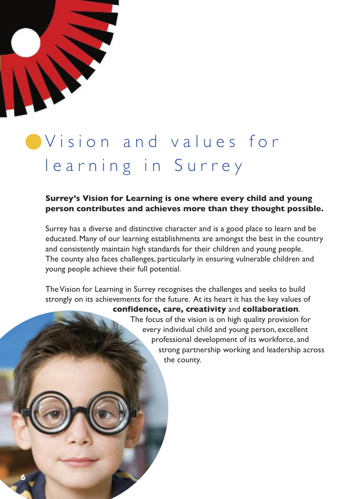

# **O** Vision and values for learning in Surrey

#### **Surrey's Vision for Learning is one where every child and young person contributes and achieves more than they thought possible.**

Surrey has a diverse and distinctive character and is a good place to learn and be educated. Many of our learning establishments are amongst the best in the country and consistently maintain high standards for their children and young people. The county also faces challenges, particularly in ensuring vulnerable children and young people achieve their full potential.

TheVision for Learning in Surrey recognises the challenges and seeks to build strongly on its achievements for the future. At its heart it has the key values of

#### **confidence, care, creativity** and **collaboration**.

The focus of the vision is on high quality provision for every individual child and young person, excellent professional development of its workforce, and strong partnership working and leadership across the county.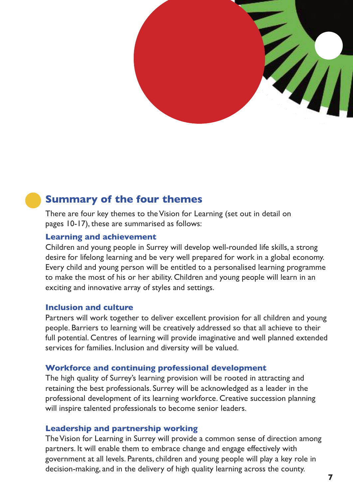

### **Summary of the four themes**

There are four key themes to the Vision for Learning (set out in detail on pages 10-17), these are summarised as follows:

#### **Learning and achievement**

Children and young people in Surrey will develop well-rounded life skills, a strong desire for lifelong learning and be very well prepared for work in a global economy. Every child and young person will be entitled to a personalised learning programme to make the most of his or her ability. Children and young people will learn in an exciting and innovative array of styles and settings.

#### **Inclusion and culture**

Partners will work together to deliver excellent provision for all children and young people. Barriers to learning will be creatively addressed so that all achieve to their full potential. Centres of learning will provide imaginative and well planned extended services for families. Inclusion and diversity will be valued.

#### **Workforce and continuing professional development**

The high quality of Surrey's learning provision will be rooted in attracting and retaining the best professionals. Surrey will be acknowledged as a leader in the professional development of its learning workforce. Creative succession planning will inspire talented professionals to become senior leaders.

#### **Leadership and partnership working**

TheVision for Learning in Surrey will provide a common sense of direction among partners. It will enable them to embrace change and engage effectively with government at all levels. Parents, children and young people will play a key role in decision-making, and in the delivery of high quality learning across the county.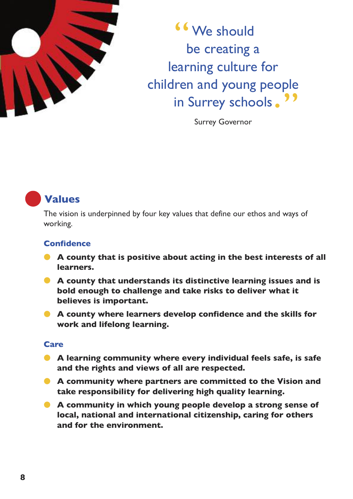

We should be creating a learning culture for children and young people in Surrey schools " .

Surrey Governor

### **Values**

The vision is underpinned by four key values that define our ethos and ways of working.

#### **Confidence**

- **A county that is positive about acting in the best interests of all learners.**
- **A county that understands its distinctive learning issues and is bold enough to challenge and take risks to deliver what it believes is important.**
- **A county where learners develop confidence and the skills for work and lifelong learning.**

#### **Care**

- **A learning community where every individual feels safe, is safe and the rights and views of all are respected.**
- **A community where partners are committed to the Vision and take responsibility for delivering high quality learning.**
- **A community in which young people develop a strong sense of local, national and international citizenship, caring for others and for the environment.**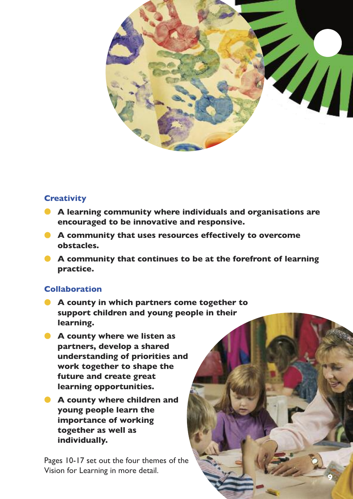

#### **Creativity**

- **A learning community where individuals and organisations are encouraged to be innovative and responsive.**
- **A community that uses resources effectively to overcome obstacles.**
- **A community that continues to be at the forefront of learning practice.**

#### **Collaboration**

- **A county in which partners come together to support children and young people in their learning.**
- **A county where we listen as partners, develop a shared understanding of priorities and work together to shape the future and create great learning opportunities.**
- **A county where children and young people learn the importance of working together as well as individually.**

Pages 10-17 set out the four themes of the Vision for Learning in more detail. **9**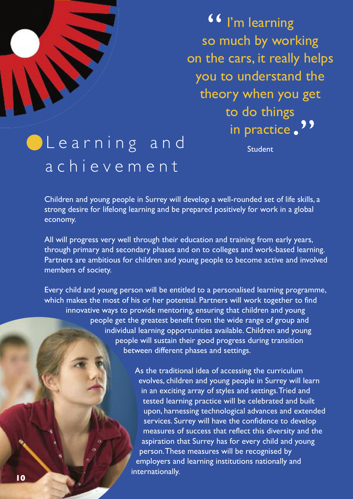

I'm learning so much by working on the cars, it really helps you to understand the theory when you get to do things in practice ( .<br>.,<br>.

Student

# L e a r n i n g a n d a c h i e v e m e n t

Children and young people in Surrey will develop a well-rounded set of life skills, a strong desire for lifelong learning and be prepared positively for work in a global economy.

All will progress very well through their education and training from early years, through primary and secondary phases and on to colleges and work-based learning. Partners are ambitious for children and young people to become active and involved members of society.

Every child and young person will be entitled to a personalised learning programme, which makes the most of his or her potential. Partners will work together to find innovative ways to provide mentoring, ensuring that children and young people get the greatest benefit from the wide range of group and individual learning opportunities available. Children and young people will sustain their good progress during transition between different phases and settings.

> As the traditional idea of accessing the curriculum evolves, children and young people in Surrey will learn in an exciting array of styles and settings.Tried and tested learning practice will be celebrated and built upon, harnessing technological advances and extended services. Surrey will have the confidence to develop measures of success that reflect this diversity and the aspiration that Surrey has for every child and young person.These measures will be recognised by employers and learning institutions nationally and internationally.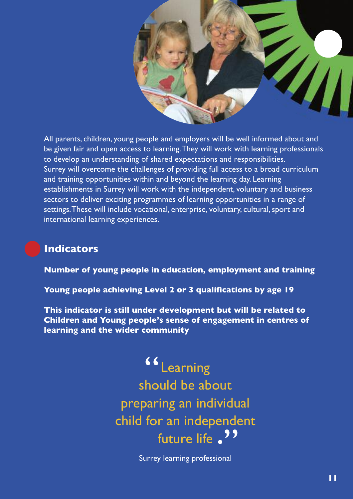

All parents, children, young people and employers will be well informed about and be given fair and open access to learning.They will work with learning professionals to develop an understanding of shared expectations and responsibilities. Surrey will overcome the challenges of providing full access to a broad curriculum and training opportunities within and beyond the learning day. Learning establishments in Surrey will work with the independent, voluntary and business sectors to deliver exciting programmes of learning opportunities in a range of settings. These will include vocational, enterprise, voluntary, cultural, sport and international learning experiences.

### **Indicators**

**Number of young people in education, employment and training**

**Young people achieving Level 2 or 3 qualifications by age 19**

**This indicator is still under development but will be related to Children and Young people's sense of engagement in centres of learning and the wider community**

> Learning should be about preparing an individual child for an independent<br>Cuture life future life 66<br>ho el<br>•

> > Surrey learning professional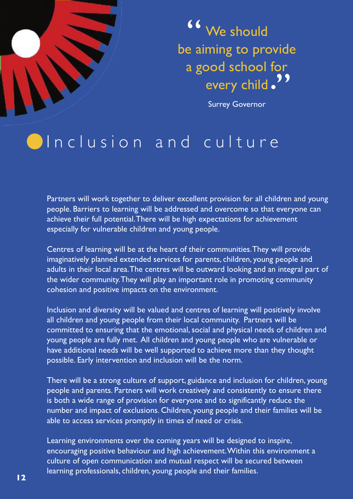

 $\frac{1}{2}$ a good school for<br>every child • We should be aiming to provide every child

Surrey Governor

### **O**Inclusion and culture

Partners will work together to deliver excellent provision for all children and young people. Barriers to learning will be addressed and overcome so that everyone can achieve their full potential.There will be high expectations for achievement especially for vulnerable children and young people.

Centres of learning will be at the heart of their communities.They will provide imaginatively planned extended services for parents, children, young people and adults in their local area.The centres will be outward looking and an integral part of the wider community.They will play an important role in promoting community cohesion and positive impacts on the environment.

Inclusion and diversity will be valued and centres of learning will positively involve all children and young people from their local community. Partners will be committed to ensuring that the emotional, social and physical needs of children and young people are fully met. All children and young people who are vulnerable or have additional needs will be well supported to achieve more than they thought possible. Early intervention and inclusion will be the norm.

There will be a strong culture of support, guidance and inclusion for children, young people and parents. Partners will work creatively and consistently to ensure there is both a wide range of provision for everyone and to significantly reduce the number and impact of exclusions. Children, young people and their families will be able to access services promptly in times of need or crisis.

Learning environments over the coming years will be designed to inspire, encouraging positive behaviour and high achievement.Within this environment a culture of open communication and mutual respect will be secured between learning professionals, children, young people and their families.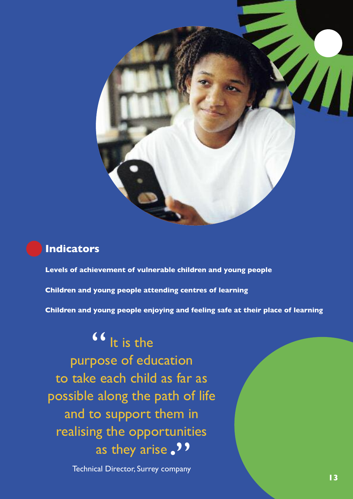

#### **Indicators**

**Levels of achievement of vulnerable children and young people**

**Children and young people attending centres of learning**

**Children and young people enjoying and feeling safe at their place of learning**

It is the purpose of education to take each child as far as possible along the path of life and to support them in realising the opportunities<br>35 Abevarise as they arise ( .u<br>●

Technical Director, Surrey company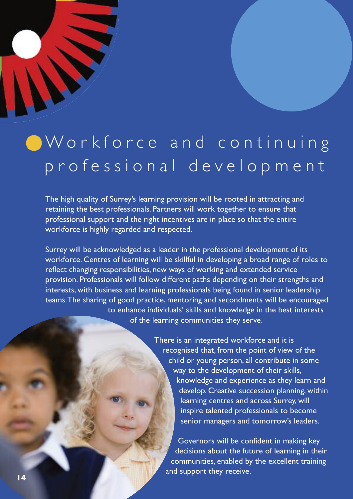# Workforce and continuing p r o f e s s i o n a l d e v e l o p m e n t

The high quality of Surrey's learning provision will be rooted in attracting and retaining the best professionals. Partners will work together to ensure that professional support and the right incentives are in place so that the entire workforce is highly regarded and respected.

Surrey will be acknowledged as a leader in the professional development of its workforce. Centres of learning will be skillful in developing a broad range of roles to reflect changing responsibilities, new ways of working and extended service provision. Professionals will follow different paths depending on their strengths and interests, with business and learning professionals being found in senior leadership teams.The sharing of good practice, mentoring and secondments will be encouraged to enhance individuals' skills and knowledge in the best interests of the learning communities they serve.

> There is an integrated workforce and it is recognised that, from the point of view of the child or young person, all contribute in some way to the development of their skills, knowledge and experience as they learn and develop. Creative succession planning, within learning centres and across Surrey, will inspire talented professionals to become senior managers and tomorrow's leaders.

Governors will be confident in making key decisions about the future of learning in their communities, enabled by the excellent training and support they receive.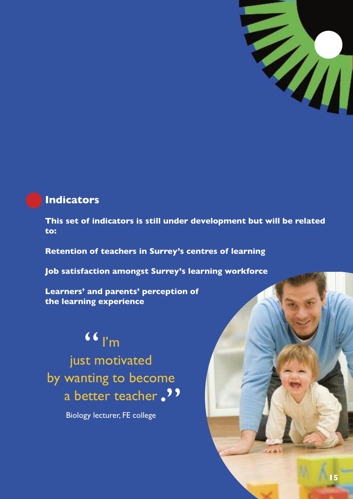

### **Indicators**

**This set of indicators is still under development but will be related to:**

**Retention of teachers in Surrey's centres of learning**

**Job satisfaction amongst Surrey's learning workforce**

**Learners' and parents' perception of the learning experience**

### I'm 66<br>t n

just motivated by wanting to become a better teacher " .

Biology lecturer, FE college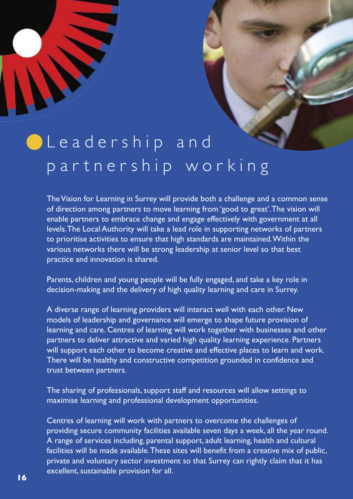# Leadership and partnership working

TheVision for Learning in Surrey will provide both a challenge and a common sense of direction among partners to move learning from 'good to great'.The vision will enable partners to embrace change and engage effectively with government at all levels.The Local Authority will take a lead role in supporting networks of partners to prioritise activities to ensure that high standards are maintained.Within the various networks there will be strong leadership at senior level so that best practice and innovation is shared.

Parents, children and young people will be fully engaged, and take a key role in decision-making and the delivery of high quality learning and care in Surrey.

A diverse range of learning providers will interact well with each other. New models of leadership and governance will emerge to shape future provision of learning and care. Centres of learning will work together with businesses and other partners to deliver attractive and varied high quality learning experience. Partners will support each other to become creative and effective places to learn and work. There will be healthy and constructive competition grounded in confidence and trust between partners.

The sharing of professionals, support staff and resources will allow settings to maximise learning and professional development opportunities.

Centres of learning will work with partners to overcome the challenges of providing secure community facilities available seven days a week, all the year round. A range of services including, parental support, adult learning, health and cultural facilities will be made available.These sites will benefit from a creative mix of public, private and voluntary sector investment so that Surrey can rightly claim that it has excellent, sustainable provision for all.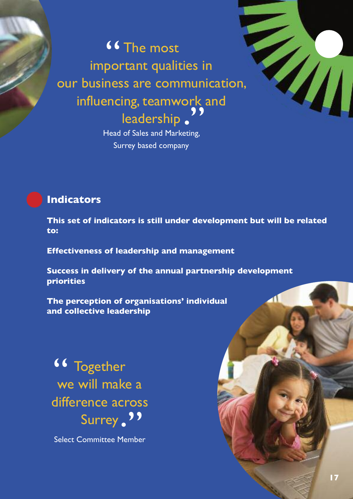**CE** The most <sup>66</sup> The most<br>important qualities in our business are communication, influencing, teamwork and<br>| leadership . leadership.

Head of Sales and Marketing, Surrey based company

#### **Indicators**

**This set of indicators is still under development but will be related to:**

**Effectiveness of leadership and management**

**Success in delivery of the annual partnership development priorities**

**The perception of organisations' individual and collective leadership**

" difference across . **Together** we will make a Surrey

Select Committee Member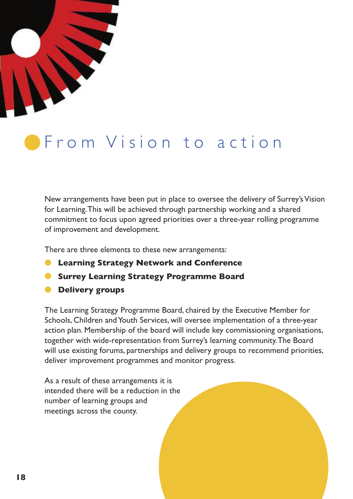

### **S** From Vision to action

New arrangements have been put in place to oversee the delivery of Surrey's Vision for Learning.This will be achieved through partnership working and a shared commitment to focus upon agreed priorities over a three-year rolling programme of improvement and development.

There are three elements to these new arrangements:

- **Learning Strategy Network and Conference**
- **Surrey Learning Strategy Programme Board**
- **Delivery groups**

The Learning Strategy Programme Board, chaired by the Executive Member for Schools, Children andYouth Services, will oversee implementation of a three-year action plan. Membership of the board will include key commissioning organisations, together with wide-representation from Surrey's learning community.The Board will use existing forums, partnerships and delivery groups to recommend priorities, deliver improvement programmes and monitor progress.

As a result of these arrangements it is intended there will be a reduction in the number of learning groups and meetings across the county.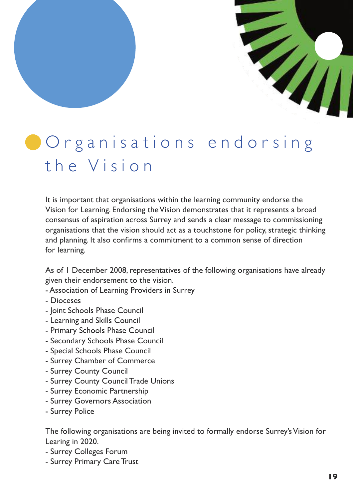# Organisations endorsing the Vision

It is important that organisations within the learning community endorse the Vision for Learning. Endorsing theVision demonstrates that it represents a broad consensus of aspiration across Surrey and sends a clear message to commissioning organisations that the vision should act as a touchstone for policy, strategic thinking and planning. It also confirms a commitment to a common sense of direction for learning.

As of 1 December 2008, representatives of the following organisations have already given their endorsement to the vision.

- Association of Learning Providers in Surrey
- Dioceses
- Joint Schools Phase Council
- Learning and Skills Council
- Primary Schools Phase Council
- Secondary Schools Phase Council
- Special Schools Phase Council
- Surrey Chamber of Commerce
- Surrey County Council
- Surrey County Council Trade Unions
- Surrey Economic Partnership
- Surrey Governors Association
- Surrey Police

The following organisations are being invited to formally endorse Surrey's Vision for Learing in 2020.

- Surrey Colleges Forum
- Surrey Primary Care Trust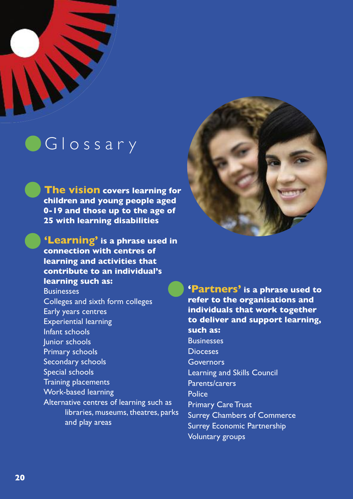

# O G l o s s a r y

**The vision covers learning for children and young people aged 0-19 and those up to the age of 25 with learning disabilities**

**'Learning' is a phrase used in connection with centres of learning and activities that contribute to an individual's learning such as:**

**Businesses** Colleges and sixth form colleges Early years centres Experiential learning Infant schools Junior schools Primary schools Secondary schools Special schools Training placements Work-based learning Alternative centres of learning such as libraries, museums, theatres, parks and play areas



**'Partners' is a phrase used to refer to the organisations and individuals that work together to deliver and support learning, such as: Businesses Dioceses** Governors Learning and Skills Council Parents/carers **Police** Primary Care Trust Surrey Chambers of Commerce Surrey Economic Partnership Voluntary groups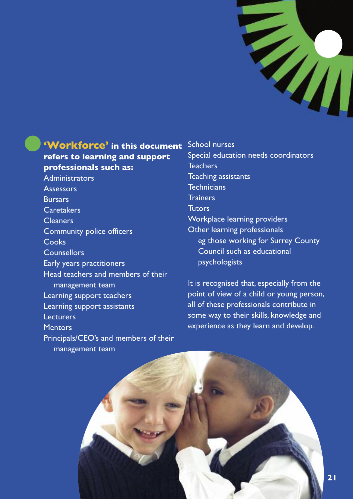

#### **'Workforce' in this document refers to learning and support professionals such as:**

Administrators **Assessors Bursars Caretakers Cleaners** Community police officers **Cooks Counsellors** Early years practitioners Head teachers and members of their management team Learning support teachers Learning support assistants **Lecturers Mentors** Principals/CEO's and members of their management team

School nurses Special education needs coordinators **Teachers** Teaching assistants **Technicians Trainers Tutors** Workplace learning providers Other learning professionals eg those working for Surrey County Council such as educational psychologists

It is recognised that, especially from the point of view of a child or young person, all of these professionals contribute in some way to their skills, knowledge and experience as they learn and develop.

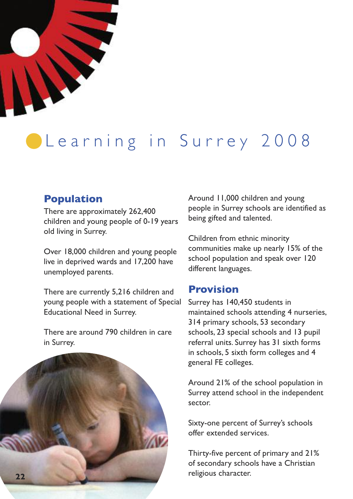

# Learning in Surrey 2008

### **Population**

There are approximately 262,400 children and young people of 0-19 years old living in Surrey.

Over 18,000 children and young people live in deprived wards and 17,200 have unemployed parents.

There are currently 5,216 children and young people with a statement of Special Educational Need in Surrey.

There are around 790 children in care in Surrey.



Around 11,000 children and young people in Surrey schools are identified as being gifted and talented.

Children from ethnic minority communities make up nearly 15% of the school population and speak over 120 different languages.

### **Provision**

Surrey has 140,450 students in maintained schools attending 4 nurseries, 314 primary schools, 53 secondary schools, 23 special schools and 13 pupil referral units. Surrey has 31 sixth forms in schools, 5 sixth form colleges and 4 general FE colleges.

Around 21% of the school population in Surrey attend school in the independent sector.

Sixty-one percent of Surrey's schools offer extended services.

Thirty-five percent of primary and 21% of secondary schools have a Christian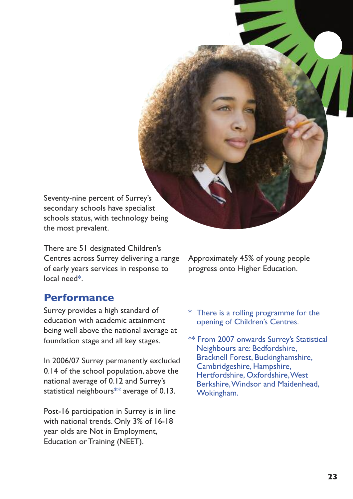Seventy-nine percent of Surrey's secondary schools have specialist schools status, with technology being the most prevalent.

There are 51 designated Children's Centres across Surrey delivering a range of early years services in response to local need\*.

Approximately 45% of young people progress onto Higher Education.

 $\overline{\prime}$ 

### **Performance**

Surrey provides a high standard of education with academic attainment being well above the national average at foundation stage and all key stages.

In 2006/07 Surrey permanently excluded 0.14 of the school population, above the national average of 0.12 and Surrey's statistical neighbours<sup>\*\*</sup> average of 0.13.

Post-16 participation in Surrey is in line with national trends. Only 3% of 16-18 year olds are Not in Employment, Education or Training (NEET).

There is a rolling programme for the opening of Children's Centres.

\*\* From 2007 onwards Surrey's Statistical Neighbours are: Bedfordshire, Bracknell Forest, Buckinghamshire, Cambridgeshire, Hampshire, Hertfordshire, Oxfordshire,West Berkshire,Windsor and Maidenhead, Wokingham.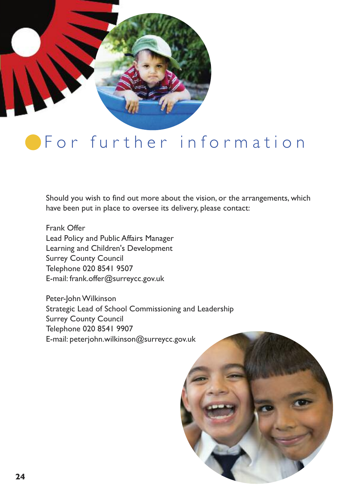

# **For further information**

Should you wish to find out more about the vision, or the arrangements, which have been put in place to oversee its delivery, please contact:

Frank Offer Lead Policy and Public Affairs Manager Learning and Children's Development Surrey County Council Telephone 020 8541 9507 E-mail: frank.offer@surreycc.gov.uk

Peter-John Wilkinson Strategic Lead of School Commissioning and Leadership Surrey County Council Telephone 020 8541 9907 E-mail: peterjohn.wilkinson@surreycc.gov.uk